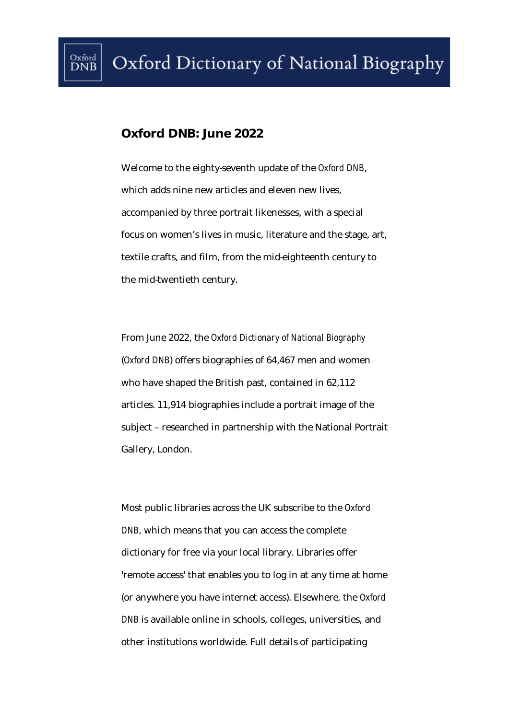## **Oxford DNB: June 2022**

Welcome to the eighty-seventh update of the *Oxford DNB*, which adds nine new articles and eleven new lives, accompanied by three portrait likenesses, with a special focus on women's lives in music, literature and the stage, art, textile crafts, and film, from the mid-eighteenth century to the mid-twentieth century.

From June 2022, the *Oxford Dictionary of National Biography*  (*Oxford DNB*) offers biographies of 64,467 men and women who have shaped the British past, contained in 62,112 articles. 11,914 biographies include a portrait image of the subject – researched in partnership with the National Portrait Gallery, London.

Most public libraries across the UK subscribe to the *Oxford DNB*, which means that you can access the complete dictionary for free via your local library. Libraries offer 'remote access' that enables you to log in at any time at home (or anywhere you have internet access). Elsewhere, the *Oxford DNB* is available online in schools, colleges, universities, and other institutions worldwide. Full details of participating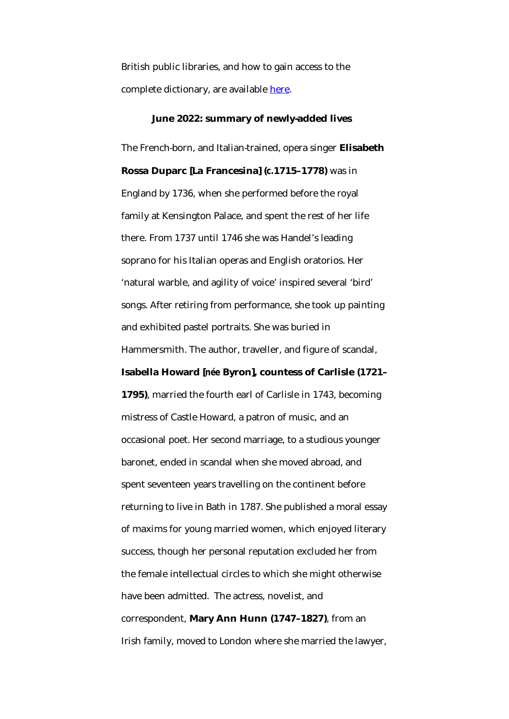British public libraries, and how to gain access to the complete dictionary, are available [here.](https://www.oxforddnb.com/page/subscribe)

## **June 2022: summary of newly-added lives**

The French-born, and Italian-trained, opera singer **Elisabeth Rossa Duparc [La Francesina] (***c.***1715–1778)** was in England by 1736, when she performed before the royal family at Kensington Palace, and spent the rest of her life there. From 1737 until 1746 she was Handel's leading soprano for his Italian operas and English oratorios. Her 'natural warble, and agility of voice' inspired several 'bird' songs. After retiring from performance, she took up painting and exhibited pastel portraits. She was buried in Hammersmith. The author, traveller, and figure of scandal,

## **Isabella Howard [***née* **Byron], countess of Carlisle (1721–**

**1795)**, married the fourth earl of Carlisle in 1743, becoming mistress of Castle Howard, a patron of music, and an occasional poet. Her second marriage, to a studious younger baronet, ended in scandal when she moved abroad, and spent seventeen years travelling on the continent before returning to live in Bath in 1787. She published a moral essay of maxims for young married women, which enjoyed literary success, though her personal reputation excluded her from the female intellectual circles to which she might otherwise have been admitted. The actress, novelist, and correspondent, **Mary Ann Hunn (1747–1827)**, from an Irish family, moved to London where she married the lawyer,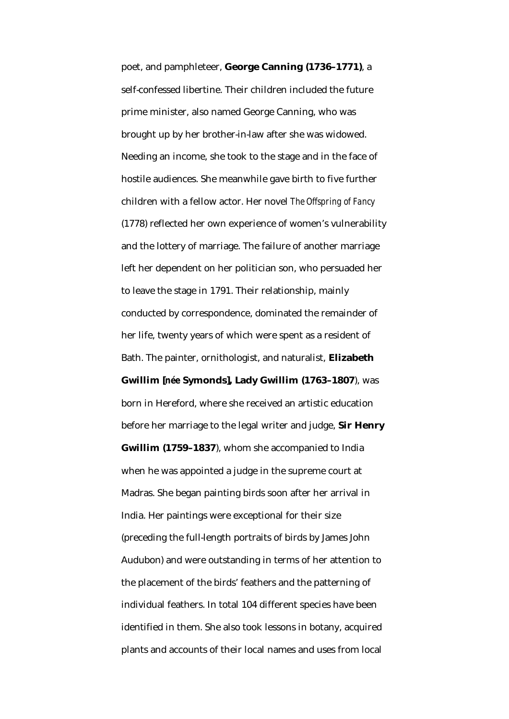poet, and pamphleteer, **George Canning (1736–1771)**, a self-confessed libertine. Their children included the future prime minister, also named George Canning, who was brought up by her brother-in-law after she was widowed. Needing an income, she took to the stage and in the face of hostile audiences. She meanwhile gave birth to five further children with a fellow actor. Her novel *The Offspring of Fancy* (1778) reflected her own experience of women's vulnerability and the lottery of marriage. The failure of another marriage left her dependent on her politician son, who persuaded her to leave the stage in 1791. Their relationship, mainly conducted by correspondence, dominated the remainder of her life, twenty years of which were spent as a resident of Bath. The painter, ornithologist, and naturalist, **Elizabeth Gwillim [***née* **Symonds], Lady Gwillim (1763–1807**), was born in Hereford, where she received an artistic education before her marriage to the legal writer and judge, **Sir Henry Gwillim (1759–1837**), whom she accompanied to India when he was appointed a judge in the supreme court at Madras. She began painting birds soon after her arrival in India. Her paintings were exceptional for their size (preceding the full-length portraits of birds by James John Audubon) and were outstanding in terms of her attention to the placement of the birds' feathers and the patterning of individual feathers. In total 104 different species have been identified in them. She also took lessons in botany, acquired plants and accounts of their local names and uses from local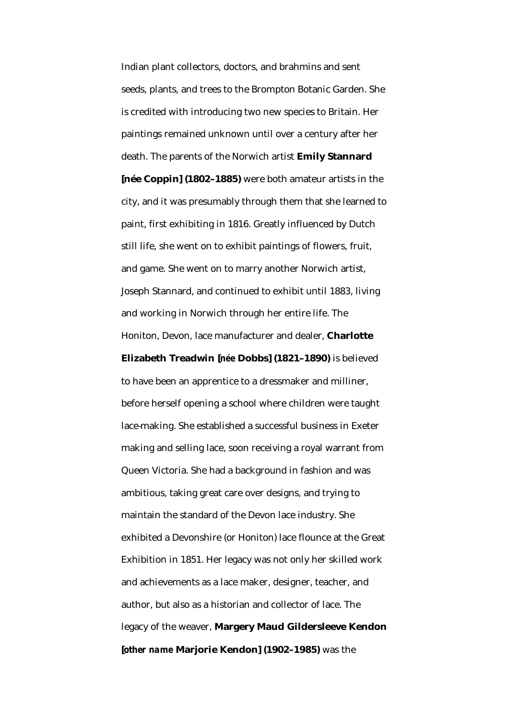Indian plant collectors, doctors, and brahmins and sent seeds, plants, and trees to the Brompton Botanic Garden. She is credited with introducing two new species to Britain. Her paintings remained unknown until over a century after her death. The parents of the Norwich artist **Emily Stannard [née Coppin] (1802–1885)** were both amateur artists in the city, and it was presumably through them that she learned to paint, first exhibiting in 1816. Greatly influenced by Dutch still life, she went on to exhibit paintings of flowers, fruit, and game. She went on to marry another Norwich artist, Joseph Stannard, and continued to exhibit until 1883, living and working in Norwich through her entire life. The Honiton, Devon, lace manufacturer and dealer, **Charlotte** 

**Elizabeth Treadwin [***née* **Dobbs] (1821–1890)** is believed to have been an apprentice to a dressmaker and milliner, before herself opening a school where children were taught lace-making. She established a successful business in Exeter making and selling lace, soon receiving a royal warrant from Queen Victoria. She had a background in fashion and was ambitious, taking great care over designs, and trying to maintain the standard of the Devon lace industry. She exhibited a Devonshire (or Honiton) lace flounce at the Great Exhibition in 1851. Her legacy was not only her skilled work and achievements as a lace maker, designer, teacher, and author, but also as a historian and collector of lace. The legacy of the weaver, **Margery Maud Gildersleeve Kendon [***other name* **Marjorie Kendon] (1902–1985)** was the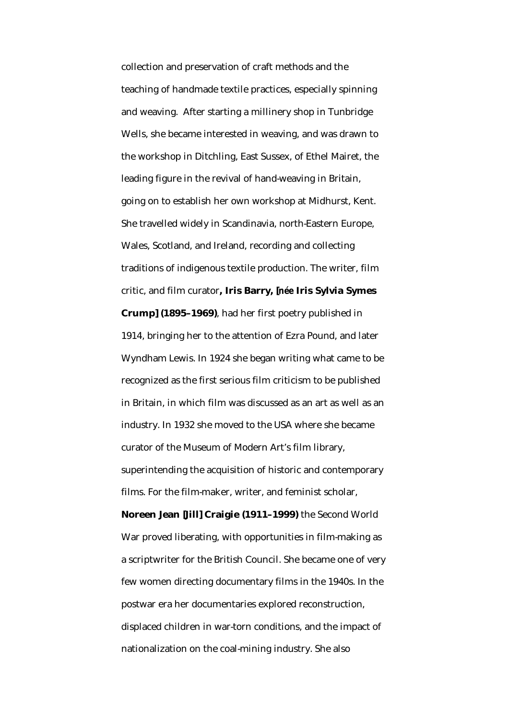collection and preservation of craft methods and the teaching of handmade textile practices, especially spinning and weaving. After starting a millinery shop in Tunbridge Wells, she became interested in weaving, and was drawn to the workshop in Ditchling, East Sussex, of Ethel Mairet, the leading figure in the revival of hand-weaving in Britain, going on to establish her own workshop at Midhurst, Kent. She travelled widely in Scandinavia, north-Eastern Europe, Wales, Scotland, and Ireland, recording and collecting traditions of indigenous textile production. The writer, film critic, and film curator**, Iris Barry, [***née* **Iris Sylvia Symes Crump] (1895–1969)**, had her first poetry published in 1914, bringing her to the attention of Ezra Pound, and later Wyndham Lewis. In 1924 she began writing what came to be recognized as the first serious film criticism to be published in Britain, in which film was discussed as an art as well as an industry. In 1932 she moved to the USA where she became curator of the Museum of Modern Art's film library, superintending the acquisition of historic and contemporary films. For the film-maker, writer, and feminist scholar, **Noreen Jean [Jill] Craigie (1911–1999)** the Second World

War proved liberating, with opportunities in film-making as a scriptwriter for the British Council. She became one of very few women directing documentary films in the 1940s. In the postwar era her documentaries explored reconstruction, displaced children in war-torn conditions, and the impact of nationalization on the coal-mining industry. She also